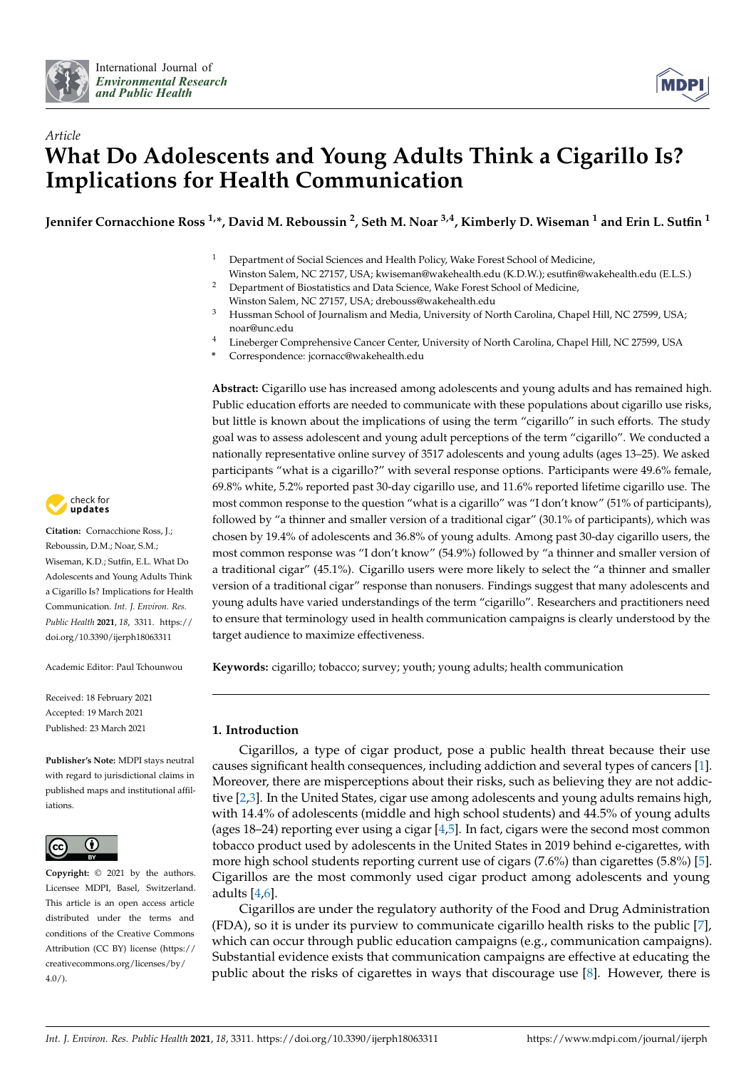



# *Article* **What Do Adolescents and Young Adults Think a Cigarillo Is? Implications for Health Communication**

**Jennifer Cornacchione Ross 1,\*, David M. Reboussin <sup>2</sup> , Seth M. Noar 3,4, Kimberly D. Wiseman <sup>1</sup> and Erin L. Sutfin <sup>1</sup>**

- <sup>1</sup> Department of Social Sciences and Health Policy, Wake Forest School of Medicine, Winston Salem, NC 27157, USA; kwiseman@wakehealth.edu (K.D.W.); esutfin@wakehealth.edu (E.L.S.)
- <sup>2</sup> Department of Biostatistics and Data Science, Wake Forest School of Medicine, Winston Salem, NC 27157, USA; drebouss@wakehealth.edu
- <sup>3</sup> Hussman School of Journalism and Media, University of North Carolina, Chapel Hill, NC 27599, USA; noar@unc.edu
- <sup>4</sup> Lineberger Comprehensive Cancer Center, University of North Carolina, Chapel Hill, NC 27599, USA
- **\*** Correspondence: jcornacc@wakehealth.edu

**Abstract:** Cigarillo use has increased among adolescents and young adults and has remained high. Public education efforts are needed to communicate with these populations about cigarillo use risks, but little is known about the implications of using the term "cigarillo" in such efforts. The study goal was to assess adolescent and young adult perceptions of the term "cigarillo". We conducted a nationally representative online survey of 3517 adolescents and young adults (ages 13–25). We asked participants "what is a cigarillo?" with several response options. Participants were 49.6% female, 69.8% white, 5.2% reported past 30-day cigarillo use, and 11.6% reported lifetime cigarillo use. The most common response to the question "what is a cigarillo" was "I don't know" (51% of participants), followed by "a thinner and smaller version of a traditional cigar" (30.1% of participants), which was chosen by 19.4% of adolescents and 36.8% of young adults. Among past 30-day cigarillo users, the most common response was "I don't know" (54.9%) followed by "a thinner and smaller version of a traditional cigar" (45.1%). Cigarillo users were more likely to select the "a thinner and smaller version of a traditional cigar" response than nonusers. Findings suggest that many adolescents and young adults have varied understandings of the term "cigarillo". Researchers and practitioners need to ensure that terminology used in health communication campaigns is clearly understood by the target audience to maximize effectiveness.

**Keywords:** cigarillo; tobacco; survey; youth; young adults; health communication

# **1. Introduction**

Cigarillos, a type of cigar product, pose a public health threat because their use causes significant health consequences, including addiction and several types of cancers [\[1\]](#page-6-0). Moreover, there are misperceptions about their risks, such as believing they are not addictive [\[2](#page-6-1)[,3\]](#page-6-2). In the United States, cigar use among adolescents and young adults remains high, with 14.4% of adolescents (middle and high school students) and 44.5% of young adults (ages 18–24) reporting ever using a cigar  $[4,5]$  $[4,5]$ . In fact, cigars were the second most common tobacco product used by adolescents in the United States in 2019 behind e-cigarettes, with more high school students reporting current use of cigars (7.6%) than cigarettes (5.8%) [\[5\]](#page-6-4). Cigarillos are the most commonly used cigar product among adolescents and young adults [\[4](#page-6-3)[,6\]](#page-6-5).

Cigarillos are under the regulatory authority of the Food and Drug Administration (FDA), so it is under its purview to communicate cigarillo health risks to the public [\[7\]](#page-6-6), which can occur through public education campaigns (e.g., communication campaigns). Substantial evidence exists that communication campaigns are effective at educating the public about the risks of cigarettes in ways that discourage use [\[8\]](#page-6-7). However, there is



**Citation:** Cornacchione Ross, J.; Reboussin, D.M.; Noar, S.M.; Wiseman, K.D.; Sutfin, E.L. What Do Adolescents and Young Adults Think a Cigarillo Is? Implications for Health Communication. *Int. J. Environ. Res. Public Health* **2021**, *18*, 3311. [https://](https://doi.org/10.3390/ijerph18063311) [doi.org/10.3390/ijerph18063311](https://doi.org/10.3390/ijerph18063311)

Academic Editor: Paul Tchounwou

Received: 18 February 2021 Accepted: 19 March 2021 Published: 23 March 2021

**Publisher's Note:** MDPI stays neutral with regard to jurisdictional claims in published maps and institutional affiliations.



**Copyright:** © 2021 by the authors. Licensee MDPI, Basel, Switzerland. This article is an open access article distributed under the terms and conditions of the Creative Commons Attribution (CC BY) license (https:/[/](https://creativecommons.org/licenses/by/4.0/) [creativecommons.org/licenses/by/](https://creativecommons.org/licenses/by/4.0/)  $4.0/$ ).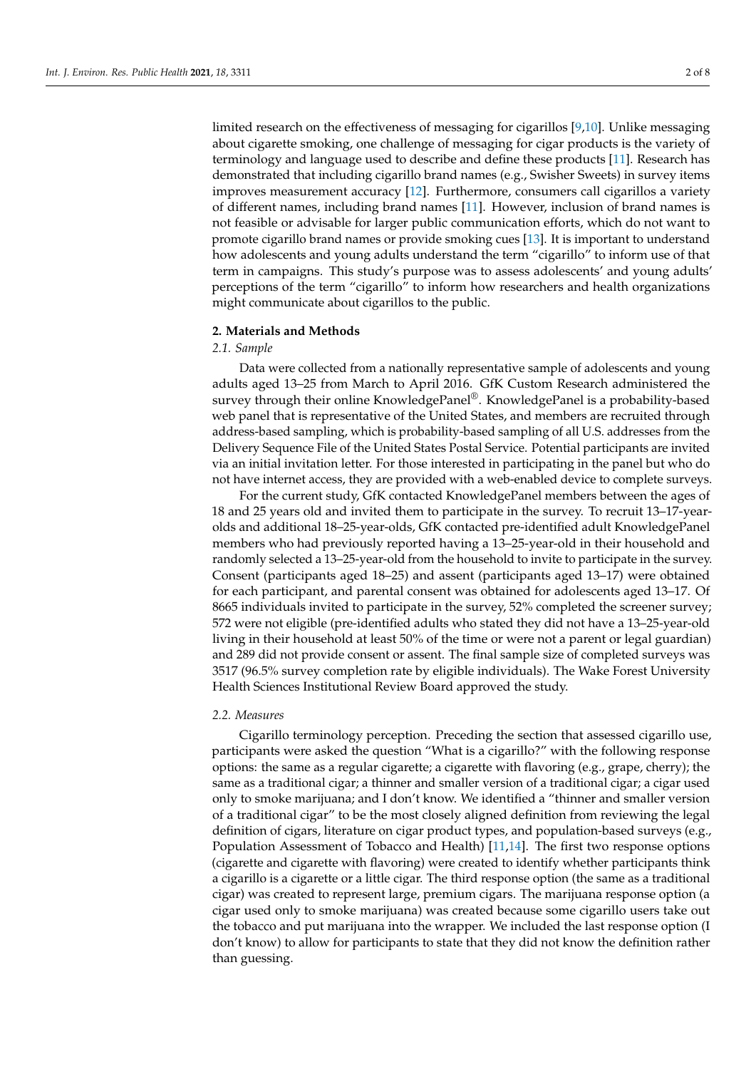limited research on the effectiveness of messaging for cigarillos [\[9,](#page-6-8)[10\]](#page-6-9). Unlike messaging about cigarette smoking, one challenge of messaging for cigar products is the variety of terminology and language used to describe and define these products [\[11\]](#page-6-10). Research has demonstrated that including cigarillo brand names (e.g., Swisher Sweets) in survey items improves measurement accuracy [\[12\]](#page-7-0). Furthermore, consumers call cigarillos a variety of different names, including brand names [\[11\]](#page-6-10). However, inclusion of brand names is not feasible or advisable for larger public communication efforts, which do not want to promote cigarillo brand names or provide smoking cues [\[13\]](#page-7-1). It is important to understand how adolescents and young adults understand the term "cigarillo" to inform use of that term in campaigns. This study's purpose was to assess adolescents' and young adults' perceptions of the term "cigarillo" to inform how researchers and health organizations might communicate about cigarillos to the public.

## **2. Materials and Methods**

#### *2.1. Sample*

Data were collected from a nationally representative sample of adolescents and young adults aged 13–25 from March to April 2016. GfK Custom Research administered the survey through their online KnowledgePanel<sup>®</sup>. KnowledgePanel is a probability-based web panel that is representative of the United States, and members are recruited through address-based sampling, which is probability-based sampling of all U.S. addresses from the Delivery Sequence File of the United States Postal Service. Potential participants are invited via an initial invitation letter. For those interested in participating in the panel but who do not have internet access, they are provided with a web-enabled device to complete surveys.

For the current study, GfK contacted KnowledgePanel members between the ages of 18 and 25 years old and invited them to participate in the survey. To recruit 13–17-yearolds and additional 18–25-year-olds, GfK contacted pre-identified adult KnowledgePanel members who had previously reported having a 13–25-year-old in their household and randomly selected a 13–25-year-old from the household to invite to participate in the survey. Consent (participants aged 18–25) and assent (participants aged 13–17) were obtained for each participant, and parental consent was obtained for adolescents aged 13–17. Of 8665 individuals invited to participate in the survey, 52% completed the screener survey; 572 were not eligible (pre-identified adults who stated they did not have a 13–25-year-old living in their household at least 50% of the time or were not a parent or legal guardian) and 289 did not provide consent or assent. The final sample size of completed surveys was 3517 (96.5% survey completion rate by eligible individuals). The Wake Forest University Health Sciences Institutional Review Board approved the study.

## *2.2. Measures*

Cigarillo terminology perception. Preceding the section that assessed cigarillo use, participants were asked the question "What is a cigarillo?" with the following response options: the same as a regular cigarette; a cigarette with flavoring (e.g., grape, cherry); the same as a traditional cigar; a thinner and smaller version of a traditional cigar; a cigar used only to smoke marijuana; and I don't know. We identified a "thinner and smaller version of a traditional cigar" to be the most closely aligned definition from reviewing the legal definition of cigars, literature on cigar product types, and population-based surveys (e.g., Population Assessment of Tobacco and Health) [\[11,](#page-6-10)[14\]](#page-7-2). The first two response options (cigarette and cigarette with flavoring) were created to identify whether participants think a cigarillo is a cigarette or a little cigar. The third response option (the same as a traditional cigar) was created to represent large, premium cigars. The marijuana response option (a cigar used only to smoke marijuana) was created because some cigarillo users take out the tobacco and put marijuana into the wrapper. We included the last response option (I don't know) to allow for participants to state that they did not know the definition rather than guessing.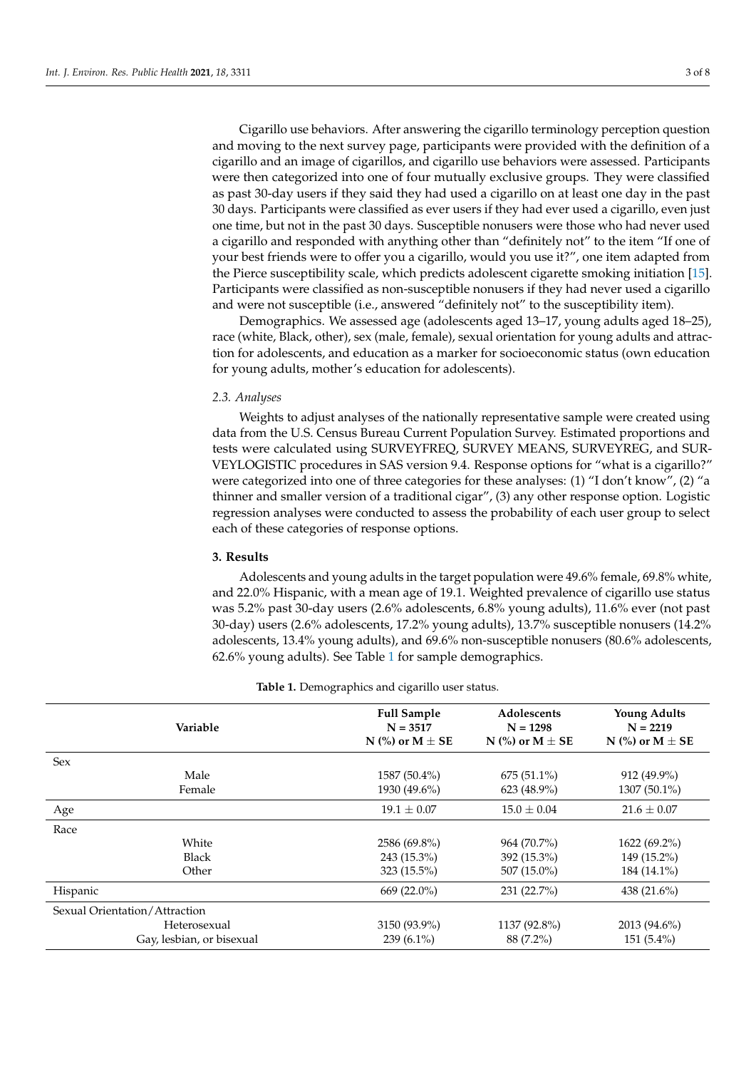Cigarillo use behaviors. After answering the cigarillo terminology perception question and moving to the next survey page, participants were provided with the definition of a cigarillo and an image of cigarillos, and cigarillo use behaviors were assessed. Participants were then categorized into one of four mutually exclusive groups. They were classified as past 30-day users if they said they had used a cigarillo on at least one day in the past 30 days. Participants were classified as ever users if they had ever used a cigarillo, even just one time, but not in the past 30 days. Susceptible nonusers were those who had never used a cigarillo and responded with anything other than "definitely not" to the item "If one of your best friends were to offer you a cigarillo, would you use it?", one item adapted from the Pierce susceptibility scale, which predicts adolescent cigarette smoking initiation [\[15\]](#page-7-3). Participants were classified as non-susceptible nonusers if they had never used a cigarillo and were not susceptible (i.e., answered "definitely not" to the susceptibility item).

Demographics. We assessed age (adolescents aged 13–17, young adults aged 18–25), race (white, Black, other), sex (male, female), sexual orientation for young adults and attraction for adolescents, and education as a marker for socioeconomic status (own education for young adults, mother's education for adolescents).

#### *2.3. Analyses*

Weights to adjust analyses of the nationally representative sample were created using data from the U.S. Census Bureau Current Population Survey. Estimated proportions and tests were calculated using SURVEYFREQ, SURVEY MEANS, SURVEYREG, and SUR-VEYLOGISTIC procedures in SAS version 9.4. Response options for "what is a cigarillo?" were categorized into one of three categories for these analyses: (1) "I don't know", (2) "a thinner and smaller version of a traditional cigar", (3) any other response option. Logistic regression analyses were conducted to assess the probability of each user group to select each of these categories of response options.

#### **3. Results**

Adolescents and young adults in the target population were 49.6% female, 69.8% white, and 22.0% Hispanic, with a mean age of 19.1. Weighted prevalence of cigarillo use status was 5.2% past 30-day users (2.6% adolescents, 6.8% young adults), 11.6% ever (not past 30-day) users (2.6% adolescents, 17.2% young adults), 13.7% susceptible nonusers (14.2% adolescents, 13.4% young adults), and 69.6% non-susceptible nonusers (80.6% adolescents, 62.6% young adults). See Table [1](#page-2-0) for sample demographics.

<span id="page-2-0"></span>

| Variable                      | <b>Full Sample</b><br>$N = 3517$<br>N (%) or $M \pm SE$ | Adolescents<br>$N = 1298$<br>N (%) or $M \pm SE$ | <b>Young Adults</b><br>$N = 2219$<br>N (%) or $M \pm SE$ |  |
|-------------------------------|---------------------------------------------------------|--------------------------------------------------|----------------------------------------------------------|--|
| Sex                           |                                                         |                                                  |                                                          |  |
| Male                          | $1587(50.4\%)$                                          | $675(51.1\%)$                                    | 912 (49.9%)                                              |  |
| Female                        | 1930 (49.6%)                                            | $623(48.9\%)$                                    | 1307 (50.1%)                                             |  |
| Age                           | $19.1 \pm 0.07$                                         | $15.0 \pm 0.04$                                  | $21.6 \pm 0.07$                                          |  |
| Race                          |                                                         |                                                  |                                                          |  |
| White                         | 2586 (69.8%)                                            | 964 (70.7%)                                      | $1622(69.2\%)$                                           |  |
| <b>Black</b>                  | 243 (15.3%)                                             | 392 (15.3%)                                      | 149 (15.2%)                                              |  |
| Other                         | $323(15.5\%)$                                           | $507(15.0\%)$                                    | 184 (14.1%)                                              |  |
| Hispanic                      | 669 (22.0%)                                             | 231(22.7%)                                       | 438 (21.6%)                                              |  |
| Sexual Orientation/Attraction |                                                         |                                                  |                                                          |  |
| Heterosexual                  | 3150 (93.9%)                                            | 1137 (92.8%)                                     | 2013 (94.6%)                                             |  |
| Gay, lesbian, or bisexual     | 239 $(6.1\%)$                                           | 88 (7.2%)                                        | $151(5.4\%)$                                             |  |

#### **Table 1.** Demographics and cigarillo user status.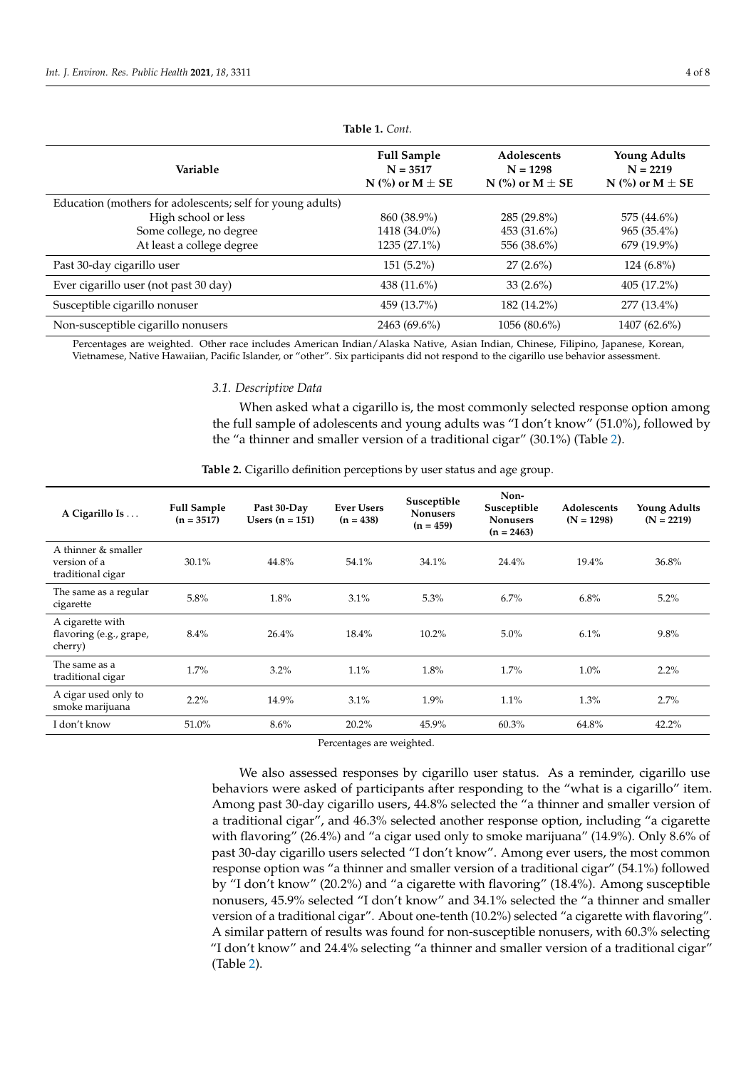| Variable                                                   | <b>Full Sample</b><br>$N = 3517$<br>N $\left(\% \right)$ or M $\pm$ SE | Adolescents<br>$N = 1298$<br>N (%) or $M \pm SE$ | <b>Young Adults</b><br>$N = 2219$<br>N $\left(\% \right)$ or M $\pm$ SE |
|------------------------------------------------------------|------------------------------------------------------------------------|--------------------------------------------------|-------------------------------------------------------------------------|
| Education (mothers for adolescents; self for young adults) |                                                                        |                                                  |                                                                         |
| High school or less                                        | 860 (38.9%)                                                            | 285 (29.8%)                                      | 575 (44.6%)                                                             |
| Some college, no degree                                    | 1418 (34.0%)                                                           | 453 (31.6%)                                      | $965(35.4\%)$                                                           |
| At least a college degree                                  | $1235(27.1\%)$                                                         | 556 (38.6%)                                      | $679(19.9\%)$                                                           |
| Past 30-day cigarillo user                                 | $151(5.2\%)$                                                           | $27(2.6\%)$                                      | $124(6.8\%)$                                                            |
| Ever cigarillo user (not past 30 day)                      | 438 $(11.6\%)$                                                         | 33 $(2.6\%)$                                     | 405(17.2%)                                                              |
| Susceptible cigarillo nonuser                              | 459 (13.7%)                                                            | 182 (14.2%)                                      | $277(13.4\%)$                                                           |
| Non-susceptible cigarillo nonusers                         | 2463 (69.6%)                                                           | 1056 (80.6%)                                     | 1407 (62.6%)                                                            |

**Table 1.** *Cont.*

Percentages are weighted. Other race includes American Indian/Alaska Native, Asian Indian, Chinese, Filipino, Japanese, Korean, Vietnamese, Native Hawaiian, Pacific Islander, or "other". Six participants did not respond to the cigarillo use behavior assessment.

# *3.1. Descriptive Data*

When asked what a cigarillo is, the most commonly selected response option among the full sample of adolescents and young adults was "I don't know" (51.0%), followed by the "a thinner and smaller version of a traditional cigar" (30.1%) (Table [2\)](#page-3-0).

**Table 2.** Cigarillo definition perceptions by user status and age group.

<span id="page-3-0"></span>

| A Cigarillo Is                                           | <b>Full Sample</b><br>$(n = 3517)$ | Past 30-Day<br>Users $(n = 151)$ | <b>Ever Users</b><br>$(n = 438)$ | Susceptible<br><b>Nonusers</b><br>$(n = 459)$ | Non-<br>Susceptible<br><b>Nonusers</b><br>$(n = 2463)$ | Adolescents<br>$(N = 1298)$ | <b>Young Adults</b><br>$(N = 2219)$ |
|----------------------------------------------------------|------------------------------------|----------------------------------|----------------------------------|-----------------------------------------------|--------------------------------------------------------|-----------------------------|-------------------------------------|
| A thinner & smaller<br>version of a<br>traditional cigar | 30.1%                              | 44.8%                            | 54.1%                            | 34.1%                                         | 24.4%                                                  | 19.4%                       | 36.8%                               |
| The same as a regular<br>cigarette                       | 5.8%                               | 1.8%                             | 3.1%                             | 5.3%                                          | $6.7\%$                                                | 6.8%                        | 5.2%                                |
| A cigarette with<br>flavoring (e.g., grape,<br>cherry)   | $8.4\%$                            | 26.4%                            | 18.4%                            | 10.2%                                         | $5.0\%$                                                | 6.1%                        | 9.8%                                |
| The same as a<br>traditional cigar                       | 1.7%                               | 3.2%                             | 1.1%                             | 1.8%                                          | $1.7\%$                                                | 1.0%                        | 2.2%                                |
| A cigar used only to<br>smoke marijuana                  | $2.2\%$                            | 14.9%                            | 3.1%                             | $1.9\%$                                       | 1.1%                                                   | 1.3%                        | 2.7%                                |
| I don't know                                             | 51.0%                              | 8.6%                             | 20.2%                            | 45.9%                                         | 60.3%                                                  | 64.8%                       | 42.2%                               |

Percentages are weighted.

We also assessed responses by cigarillo user status. As a reminder, cigarillo use behaviors were asked of participants after responding to the "what is a cigarillo" item. Among past 30-day cigarillo users, 44.8% selected the "a thinner and smaller version of a traditional cigar", and 46.3% selected another response option, including "a cigarette with flavoring" (26.4%) and "a cigar used only to smoke marijuana" (14.9%). Only 8.6% of past 30-day cigarillo users selected "I don't know". Among ever users, the most common response option was "a thinner and smaller version of a traditional cigar" (54.1%) followed by "I don't know" (20.2%) and "a cigarette with flavoring" (18.4%). Among susceptible nonusers, 45.9% selected "I don't know" and 34.1% selected the "a thinner and smaller version of a traditional cigar". About one-tenth (10.2%) selected "a cigarette with flavoring". A similar pattern of results was found for non-susceptible nonusers, with 60.3% selecting "I don't know" and 24.4% selecting "a thinner and smaller version of a traditional cigar" (Table [2\)](#page-3-0).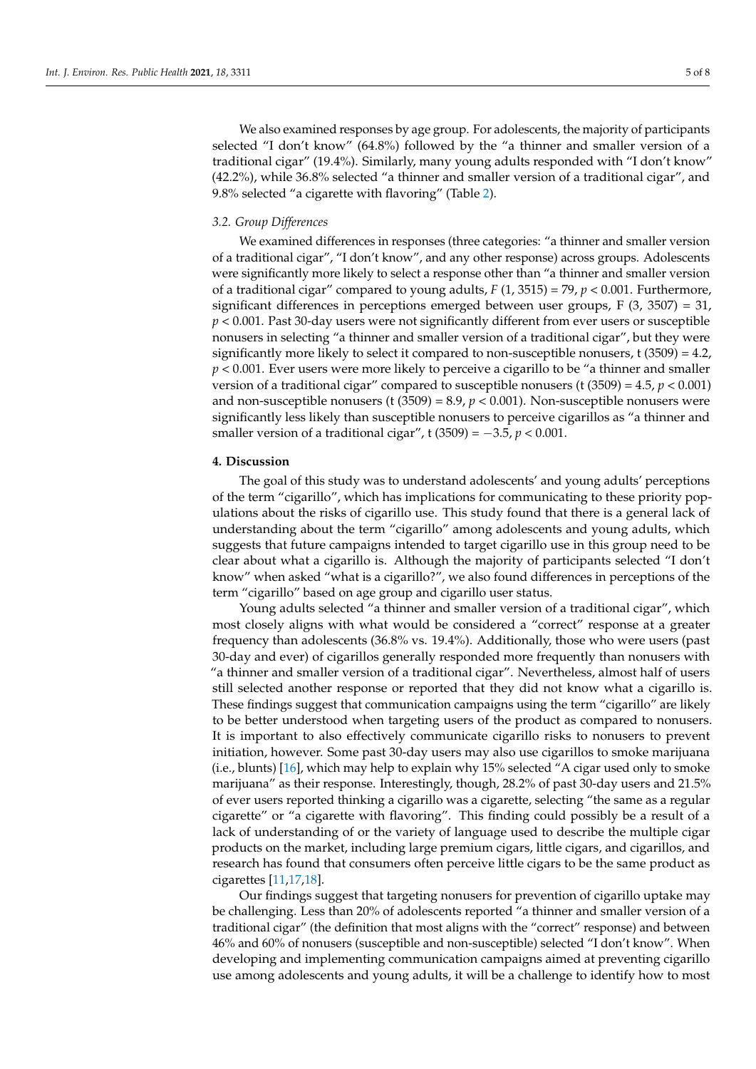We also examined responses by age group. For adolescents, the majority of participants selected "I don't know" (64.8%) followed by the "a thinner and smaller version of a traditional cigar" (19.4%). Similarly, many young adults responded with "I don't know" (42.2%), while 36.8% selected "a thinner and smaller version of a traditional cigar", and 9.8% selected "a cigarette with flavoring" (Table [2\)](#page-3-0).

# *3.2. Group Differences*

We examined differences in responses (three categories: "a thinner and smaller version of a traditional cigar", "I don't know", and any other response) across groups. Adolescents were significantly more likely to select a response other than "a thinner and smaller version of a traditional cigar" compared to young adults,  $F(1, 3515) = 79$ ,  $p < 0.001$ . Furthermore, significant differences in perceptions emerged between user groups, F (3, 3507) = 31, *p* < 0.001. Past 30-day users were not significantly different from ever users or susceptible nonusers in selecting "a thinner and smaller version of a traditional cigar", but they were significantly more likely to select it compared to non-susceptible nonusers,  $t$  (3509) = 4.2, *p* < 0.001. Ever users were more likely to perceive a cigarillo to be "a thinner and smaller version of a traditional cigar" compared to susceptible nonusers (t  $(3509) = 4.5$ ,  $p < 0.001$ ) and non-susceptible nonusers (t  $(3509) = 8.9$ ,  $p < 0.001$ ). Non-susceptible nonusers were significantly less likely than susceptible nonusers to perceive cigarillos as "a thinner and smaller version of a traditional cigar", t (3509) = −3.5, *p* < 0.001.

#### **4. Discussion**

The goal of this study was to understand adolescents' and young adults' perceptions of the term "cigarillo", which has implications for communicating to these priority populations about the risks of cigarillo use. This study found that there is a general lack of understanding about the term "cigarillo" among adolescents and young adults, which suggests that future campaigns intended to target cigarillo use in this group need to be clear about what a cigarillo is. Although the majority of participants selected "I don't know" when asked "what is a cigarillo?", we also found differences in perceptions of the term "cigarillo" based on age group and cigarillo user status.

Young adults selected "a thinner and smaller version of a traditional cigar", which most closely aligns with what would be considered a "correct" response at a greater frequency than adolescents (36.8% vs. 19.4%). Additionally, those who were users (past 30-day and ever) of cigarillos generally responded more frequently than nonusers with "a thinner and smaller version of a traditional cigar". Nevertheless, almost half of users still selected another response or reported that they did not know what a cigarillo is. These findings suggest that communication campaigns using the term "cigarillo" are likely to be better understood when targeting users of the product as compared to nonusers. It is important to also effectively communicate cigarillo risks to nonusers to prevent initiation, however. Some past 30-day users may also use cigarillos to smoke marijuana (i.e., blunts) [\[16\]](#page-7-4), which may help to explain why 15% selected "A cigar used only to smoke marijuana" as their response. Interestingly, though, 28.2% of past 30-day users and 21.5% of ever users reported thinking a cigarillo was a cigarette, selecting "the same as a regular cigarette" or "a cigarette with flavoring". This finding could possibly be a result of a lack of understanding of or the variety of language used to describe the multiple cigar products on the market, including large premium cigars, little cigars, and cigarillos, and research has found that consumers often perceive little cigars to be the same product as cigarettes [\[11](#page-6-10)[,17](#page-7-5)[,18\]](#page-7-6).

Our findings suggest that targeting nonusers for prevention of cigarillo uptake may be challenging. Less than 20% of adolescents reported "a thinner and smaller version of a traditional cigar" (the definition that most aligns with the "correct" response) and between 46% and 60% of nonusers (susceptible and non-susceptible) selected "I don't know". When developing and implementing communication campaigns aimed at preventing cigarillo use among adolescents and young adults, it will be a challenge to identify how to most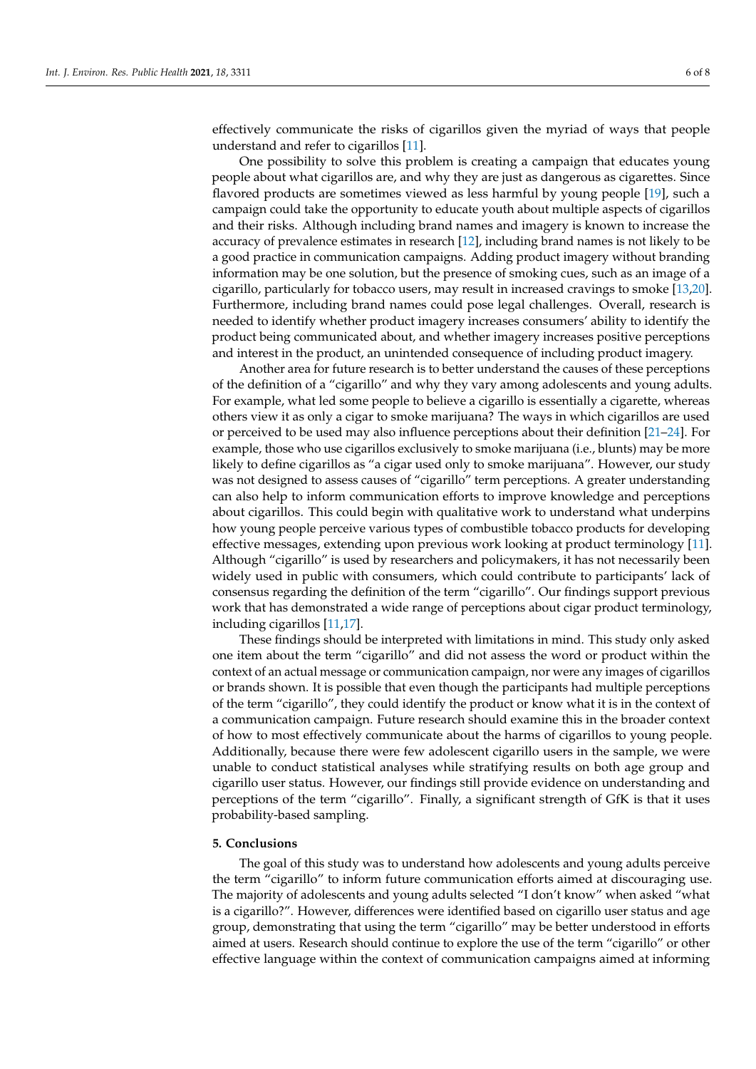effectively communicate the risks of cigarillos given the myriad of ways that people understand and refer to cigarillos [\[11\]](#page-6-10).

One possibility to solve this problem is creating a campaign that educates young people about what cigarillos are, and why they are just as dangerous as cigarettes. Since flavored products are sometimes viewed as less harmful by young people [\[19\]](#page-7-7), such a campaign could take the opportunity to educate youth about multiple aspects of cigarillos and their risks. Although including brand names and imagery is known to increase the accuracy of prevalence estimates in research [\[12\]](#page-7-0), including brand names is not likely to be a good practice in communication campaigns. Adding product imagery without branding information may be one solution, but the presence of smoking cues, such as an image of a cigarillo, particularly for tobacco users, may result in increased cravings to smoke [\[13,](#page-7-1)[20\]](#page-7-8). Furthermore, including brand names could pose legal challenges. Overall, research is needed to identify whether product imagery increases consumers' ability to identify the product being communicated about, and whether imagery increases positive perceptions and interest in the product, an unintended consequence of including product imagery.

Another area for future research is to better understand the causes of these perceptions of the definition of a "cigarillo" and why they vary among adolescents and young adults. For example, what led some people to believe a cigarillo is essentially a cigarette, whereas others view it as only a cigar to smoke marijuana? The ways in which cigarillos are used or perceived to be used may also influence perceptions about their definition [\[21–](#page-7-9)[24\]](#page-7-10). For example, those who use cigarillos exclusively to smoke marijuana (i.e., blunts) may be more likely to define cigarillos as "a cigar used only to smoke marijuana". However, our study was not designed to assess causes of "cigarillo" term perceptions. A greater understanding can also help to inform communication efforts to improve knowledge and perceptions about cigarillos. This could begin with qualitative work to understand what underpins how young people perceive various types of combustible tobacco products for developing effective messages, extending upon previous work looking at product terminology [\[11\]](#page-6-10). Although "cigarillo" is used by researchers and policymakers, it has not necessarily been widely used in public with consumers, which could contribute to participants' lack of consensus regarding the definition of the term "cigarillo". Our findings support previous work that has demonstrated a wide range of perceptions about cigar product terminology, including cigarillos [\[11,](#page-6-10)[17\]](#page-7-5).

These findings should be interpreted with limitations in mind. This study only asked one item about the term "cigarillo" and did not assess the word or product within the context of an actual message or communication campaign, nor were any images of cigarillos or brands shown. It is possible that even though the participants had multiple perceptions of the term "cigarillo", they could identify the product or know what it is in the context of a communication campaign. Future research should examine this in the broader context of how to most effectively communicate about the harms of cigarillos to young people. Additionally, because there were few adolescent cigarillo users in the sample, we were unable to conduct statistical analyses while stratifying results on both age group and cigarillo user status. However, our findings still provide evidence on understanding and perceptions of the term "cigarillo". Finally, a significant strength of GfK is that it uses probability-based sampling.

# **5. Conclusions**

The goal of this study was to understand how adolescents and young adults perceive the term "cigarillo" to inform future communication efforts aimed at discouraging use. The majority of adolescents and young adults selected "I don't know" when asked "what is a cigarillo?". However, differences were identified based on cigarillo user status and age group, demonstrating that using the term "cigarillo" may be better understood in efforts aimed at users. Research should continue to explore the use of the term "cigarillo" or other effective language within the context of communication campaigns aimed at informing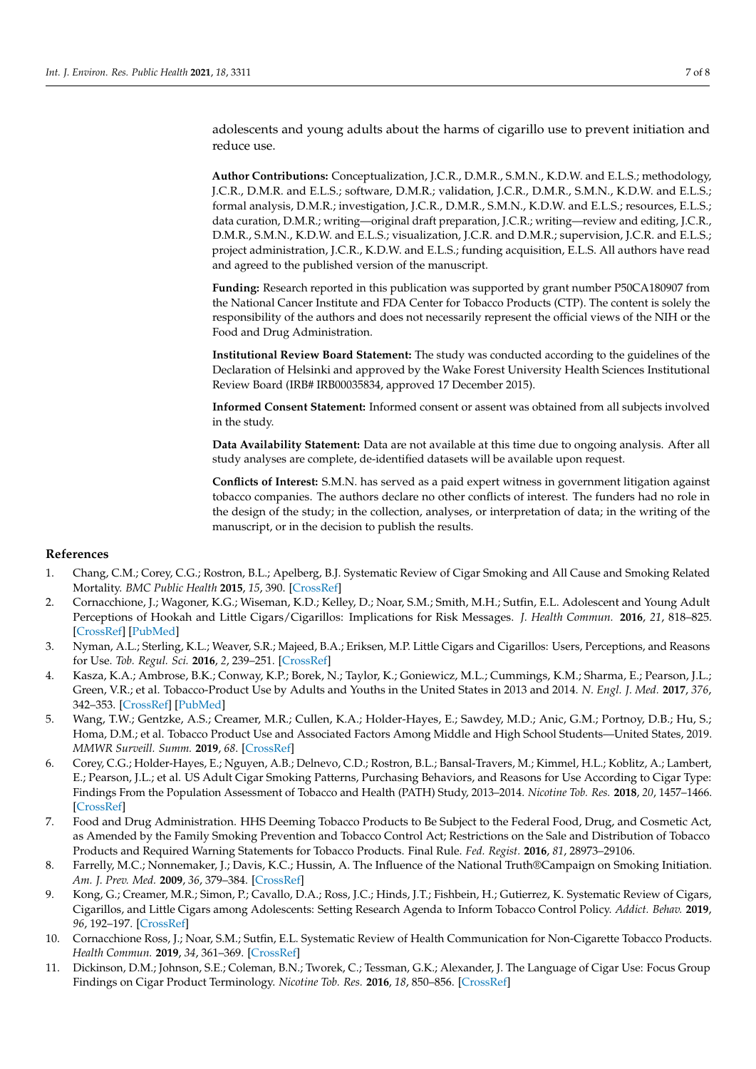adolescents and young adults about the harms of cigarillo use to prevent initiation and reduce use.

**Author Contributions:** Conceptualization, J.C.R., D.M.R., S.M.N., K.D.W. and E.L.S.; methodology, J.C.R., D.M.R. and E.L.S.; software, D.M.R.; validation, J.C.R., D.M.R., S.M.N., K.D.W. and E.L.S.; formal analysis, D.M.R.; investigation, J.C.R., D.M.R., S.M.N., K.D.W. and E.L.S.; resources, E.L.S.; data curation, D.M.R.; writing—original draft preparation, J.C.R.; writing—review and editing, J.C.R., D.M.R., S.M.N., K.D.W. and E.L.S.; visualization, J.C.R. and D.M.R.; supervision, J.C.R. and E.L.S.; project administration, J.C.R., K.D.W. and E.L.S.; funding acquisition, E.L.S. All authors have read and agreed to the published version of the manuscript.

**Funding:** Research reported in this publication was supported by grant number P50CA180907 from the National Cancer Institute and FDA Center for Tobacco Products (CTP). The content is solely the responsibility of the authors and does not necessarily represent the official views of the NIH or the Food and Drug Administration.

**Institutional Review Board Statement:** The study was conducted according to the guidelines of the Declaration of Helsinki and approved by the Wake Forest University Health Sciences Institutional Review Board (IRB# IRB00035834, approved 17 December 2015).

**Informed Consent Statement:** Informed consent or assent was obtained from all subjects involved in the study.

**Data Availability Statement:** Data are not available at this time due to ongoing analysis. After all study analyses are complete, de-identified datasets will be available upon request.

**Conflicts of Interest:** S.M.N. has served as a paid expert witness in government litigation against tobacco companies. The authors declare no other conflicts of interest. The funders had no role in the design of the study; in the collection, analyses, or interpretation of data; in the writing of the manuscript, or in the decision to publish the results.

# **References**

- <span id="page-6-0"></span>1. Chang, C.M.; Corey, C.G.; Rostron, B.L.; Apelberg, B.J. Systematic Review of Cigar Smoking and All Cause and Smoking Related Mortality. *BMC Public Health* **2015**, *15*, 390. [\[CrossRef\]](http://doi.org/10.1186/s12889-015-1617-5)
- <span id="page-6-1"></span>2. Cornacchione, J.; Wagoner, K.G.; Wiseman, K.D.; Kelley, D.; Noar, S.M.; Smith, M.H.; Sutfin, E.L. Adolescent and Young Adult Perceptions of Hookah and Little Cigars/Cigarillos: Implications for Risk Messages. *J. Health Commun.* **2016**, *21*, 818–825. [\[CrossRef\]](http://doi.org/10.1080/10810730.2016.1177141) [\[PubMed\]](http://www.ncbi.nlm.nih.gov/pubmed/27337629)
- <span id="page-6-2"></span>3. Nyman, A.L.; Sterling, K.L.; Weaver, S.R.; Majeed, B.A.; Eriksen, M.P. Little Cigars and Cigarillos: Users, Perceptions, and Reasons for Use. *Tob. Regul. Sci.* **2016**, *2*, 239–251. [\[CrossRef\]](http://doi.org/10.18001/TRS.2.3.4)
- <span id="page-6-3"></span>4. Kasza, K.A.; Ambrose, B.K.; Conway, K.P.; Borek, N.; Taylor, K.; Goniewicz, M.L.; Cummings, K.M.; Sharma, E.; Pearson, J.L.; Green, V.R.; et al. Tobacco-Product Use by Adults and Youths in the United States in 2013 and 2014. *N. Engl. J. Med.* **2017**, *376*, 342–353. [\[CrossRef\]](http://doi.org/10.1056/NEJMsa1607538) [\[PubMed\]](http://www.ncbi.nlm.nih.gov/pubmed/28121512)
- <span id="page-6-4"></span>5. Wang, T.W.; Gentzke, A.S.; Creamer, M.R.; Cullen, K.A.; Holder-Hayes, E.; Sawdey, M.D.; Anic, G.M.; Portnoy, D.B.; Hu, S.; Homa, D.M.; et al. Tobacco Product Use and Associated Factors Among Middle and High School Students—United States, 2019. *MMWR Surveill. Summ.* **2019**, *68*. [\[CrossRef\]](http://doi.org/10.15585/mmwr.ss6812a1)
- <span id="page-6-5"></span>6. Corey, C.G.; Holder-Hayes, E.; Nguyen, A.B.; Delnevo, C.D.; Rostron, B.L.; Bansal-Travers, M.; Kimmel, H.L.; Koblitz, A.; Lambert, E.; Pearson, J.L.; et al. US Adult Cigar Smoking Patterns, Purchasing Behaviors, and Reasons for Use According to Cigar Type: Findings From the Population Assessment of Tobacco and Health (PATH) Study, 2013–2014. *Nicotine Tob. Res.* **2018**, *20*, 1457–1466. [\[CrossRef\]](http://doi.org/10.1093/ntr/ntx209)
- <span id="page-6-6"></span>7. Food and Drug Administration. HHS Deeming Tobacco Products to Be Subject to the Federal Food, Drug, and Cosmetic Act, as Amended by the Family Smoking Prevention and Tobacco Control Act; Restrictions on the Sale and Distribution of Tobacco Products and Required Warning Statements for Tobacco Products. Final Rule. *Fed. Regist.* **2016**, *81*, 28973–29106.
- <span id="page-6-7"></span>8. Farrelly, M.C.; Nonnemaker, J.; Davis, K.C.; Hussin, A. The Influence of the National Truth®Campaign on Smoking Initiation. *Am. J. Prev. Med.* **2009**, *36*, 379–384. [\[CrossRef\]](http://doi.org/10.1016/j.amepre.2009.01.019)
- <span id="page-6-8"></span>9. Kong, G.; Creamer, M.R.; Simon, P.; Cavallo, D.A.; Ross, J.C.; Hinds, J.T.; Fishbein, H.; Gutierrez, K. Systematic Review of Cigars, Cigarillos, and Little Cigars among Adolescents: Setting Research Agenda to Inform Tobacco Control Policy. *Addict. Behav.* **2019**, *96*, 192–197. [\[CrossRef\]](http://doi.org/10.1016/j.addbeh.2019.04.032)
- <span id="page-6-9"></span>10. Cornacchione Ross, J.; Noar, S.M.; Sutfin, E.L. Systematic Review of Health Communication for Non-Cigarette Tobacco Products. *Health Commun.* **2019**, *34*, 361–369. [\[CrossRef\]](http://doi.org/10.1080/10410236.2017.1407274)
- <span id="page-6-10"></span>11. Dickinson, D.M.; Johnson, S.E.; Coleman, B.N.; Tworek, C.; Tessman, G.K.; Alexander, J. The Language of Cigar Use: Focus Group Findings on Cigar Product Terminology. *Nicotine Tob. Res.* **2016**, *18*, 850–856. [\[CrossRef\]](http://doi.org/10.1093/ntr/ntv285)